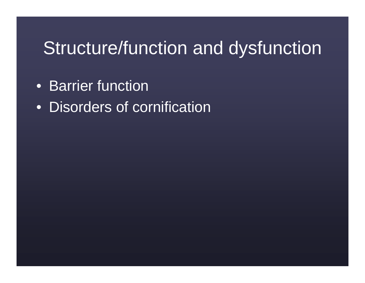### Structure/function and dysfunction

- Barrier function
- Disorders of cornification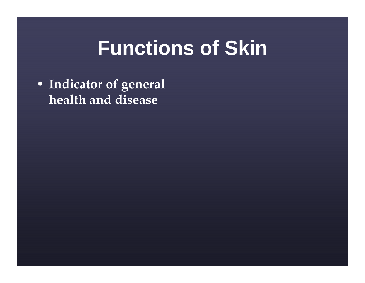## **Functions of Skin**

• Indicator of general health and disease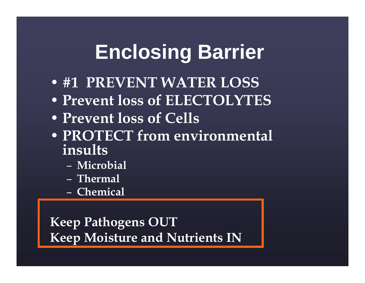# **Enclosing Barrier**

- #1 PREVENT WATER LOSS
- Prevent loss of ELECTOLYTES
- Prevent loss of Cells
- PROTECT from environmental insults
	- –Microbial
	- –– Thermal
	- <mark>– Chemical</mark>

Keep Pathogens OUTKeep Moisture and Nutrients IN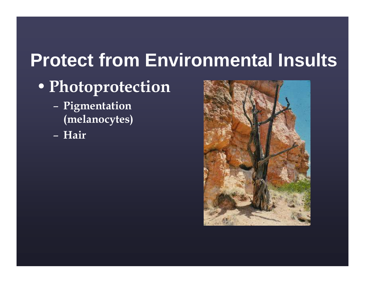### **Protect from Environmental Insults**

### •Photoprotection

- –– Pigmentation (melanocytes)
- –Hair

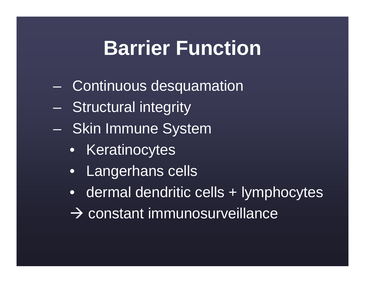# **Barrier Function**

- Continuous desquamation
- $\mathcal{L}_{\mathcal{A}}$ Structural integrity
- Skin Immune System
	- Keratinocytes
	- Langerhans cells
	- dermal dendritic cells + lymphocytes
	- $\rightarrow$  constant immunosurveillance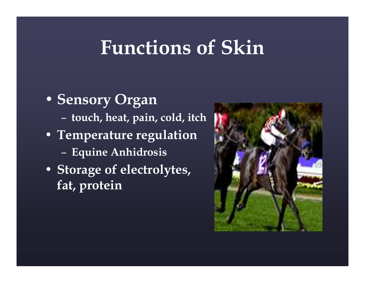### Functions of Skin

• Sensory Organ–– touch, heat, pain, cold, itch • Temperature regulation– Equine Anhidrosis • Storage of electrolytes, fat, protein

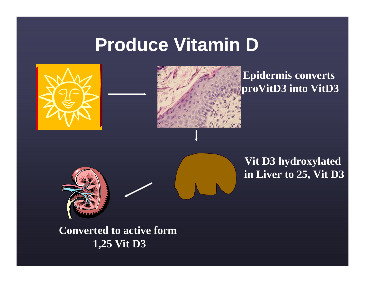### **Produce Vitamin D**



**Converted to active form 1,25 Vit D3**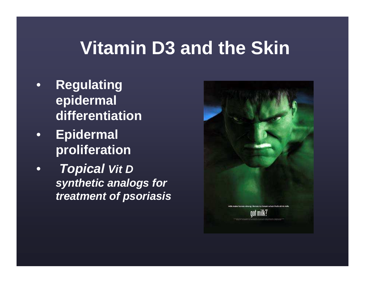### **Vitamin D3 and the Skin**

- • **Regulating epidermal differentiation**
- • **Epidermal proliferation**
- **Topical Vit <sup>D</sup>** •**synthetic analogs for treatment of psoriasis**

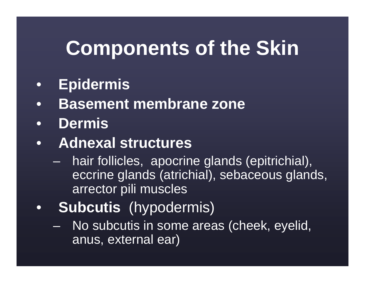# **Components of the Skin**

- $\bullet$ **Epidermis**
- **Basement membrane zone**•
- $\bullet$ **Dermis**
- **Adnexal structures**•
	- hair follicles, apocrine glands (epitrichial),  $\mathcal{L}_{\mathcal{A}}$ eccrine glands (atrichial), sebaceous glands, arrector pili muscles
- • **Subcutis** (hypodermis)
	- No subcutis in some areas (cheek, eyelid, anus, external ear)